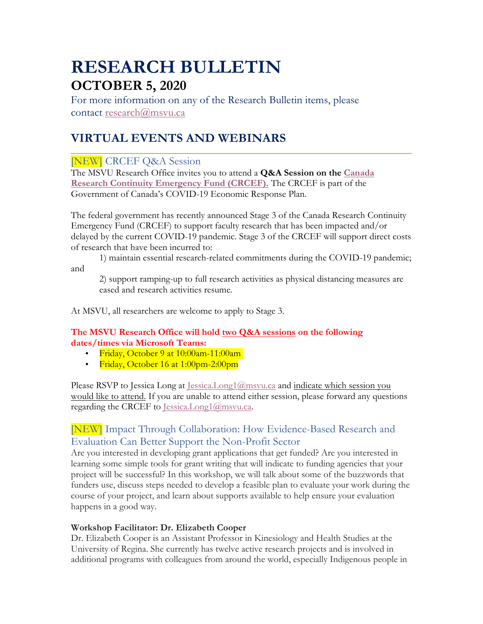# **RESEARCH BULLETIN OCTOBER 5, 2020**

For more information on any of the Research Bulletin items, please contact research@msvu.ca

## **VIRTUAL EVENTS AND WEBINARS**

## [NEW] CRCEF Q&A Session

The MSVU Research Office invites you to attend a **Q&A Session on the Canada Research Continuity Emergency Fund (CRCEF).** The CRCEF is part of the Government of Canada's COVID-19 Economic Response Plan.

The federal government has recently announced Stage 3 of the Canada Research Continuity Emergency Fund (CRCEF) to support faculty research that has been impacted and/or delayed by the current COVID-19 pandemic. Stage 3 of the CRCEF will support direct costs of research that have been incurred to:

1) maintain essential research-related commitments during the COVID-19 pandemic; and

2) support ramping-up to full research activities as physical distancing measures are eased and research activities resume.

At MSVU, all researchers are welcome to apply to Stage 3.

#### **The MSVU Research Office will hold two Q&A sessions on the following dates/times via Microsoft Teams:**

- Friday, October 9 at 10:00am-11:00am
- Friday, October 16 at 1:00pm-2:00pm

Please RSVP to Jessica Long at Jessica.Long1@msvu.ca and indicate which session you would like to attend. If you are unable to attend either session, please forward any questions regarding the CRCEF to Jessica.Long1@msvu.ca.

## [NEW] Impact Through Collaboration: How Evidence-Based Research and Evaluation Can Better Support the Non-Profit Sector

Are you interested in developing grant applications that get funded? Are you interested in learning some simple tools for grant writing that will indicate to funding agencies that your project will be successful? In this workshop, we will talk about some of the buzzwords that funders use, discuss steps needed to develop a feasible plan to evaluate your work during the course of your project, and learn about supports available to help ensure your evaluation happens in a good way.

#### **Workshop Facilitator: Dr. Elizabeth Cooper**

Dr. Elizabeth Cooper is an Assistant Professor in Kinesiology and Health Studies at the University of Regina. She currently has twelve active research projects and is involved in additional programs with colleagues from around the world, especially Indigenous people in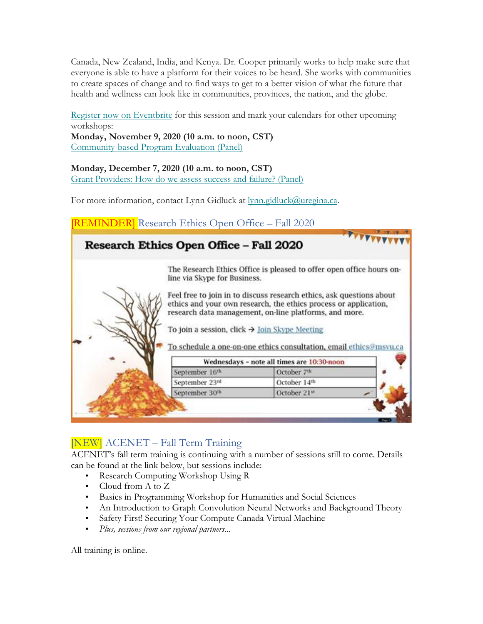Canada, New Zealand, India, and Kenya. Dr. Cooper primarily works to help make sure that everyone is able to have a platform for their voices to be heard. She works with communities to create spaces of change and to find ways to get to a better vision of what the future that health and wellness can look like in communities, provinces, the nation, and the globe.

Register now on Eventbrite for this session and mark your calendars for other upcoming workshops: **Monday, November 9, 2020 (10 a.m. to noon, CST)** Community-based Program Evaluation (Panel)

**Monday, December 7, 2020 (10 a.m. to noon, CST)**

Grant Providers: How do we assess success and failure? (Panel)

For more information, contact Lynn Gidluck at lynn.gidluck@uregina.ca.

| Research Ethics Open Office - Fall 2020 |                                                                                                                                                                                                                                                                                                                                                                         |  |  |
|-----------------------------------------|-------------------------------------------------------------------------------------------------------------------------------------------------------------------------------------------------------------------------------------------------------------------------------------------------------------------------------------------------------------------------|--|--|
|                                         | The Research Ethics Office is pleased to offer open office hours on-<br>line via Skype for Business.<br>Feel free to join in to discuss research ethics, ask questions about<br>ethics and your own research, the ethics process or application,<br>research data management, on-line platforms, and more.<br>To join a session, click $\rightarrow$ Join Skype Meeting |  |  |
|                                         |                                                                                                                                                                                                                                                                                                                                                                         |  |  |
|                                         | To schedule a one-on-one ethics consultation, email ethics@msvu.ca                                                                                                                                                                                                                                                                                                      |  |  |
|                                         | Wednesdays - note all times are 10:30-noon                                                                                                                                                                                                                                                                                                                              |  |  |
| September 16th                          | October 7th                                                                                                                                                                                                                                                                                                                                                             |  |  |
| September 23rd                          | October 14th                                                                                                                                                                                                                                                                                                                                                            |  |  |

## [NEW] ACENET – Fall Term Training

ACENET's fall term training is continuing with a number of sessions still to come. Details can be found at the link below, but sessions include:

- Research Computing Workshop Using R
- Cloud from A to Z
- Basics in Programming Workshop for Humanities and Social Sciences
- An Introduction to Graph Convolution Neural Networks and Background Theory
- Safety First! Securing Your Compute Canada Virtual Machine
- *Plus, sessions from our regional partners...*

All training is online.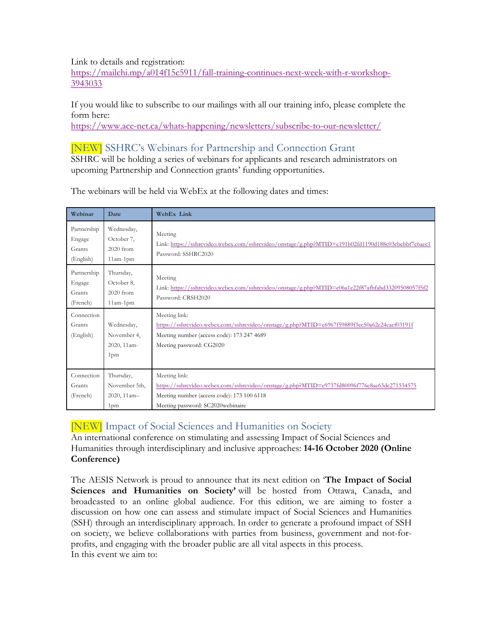Link to details and registration:

https://mailchi.mp/a014f15c5911/fall-training-continues-next-week-with-r-workshop-3943033

If you would like to subscribe to our mailings with all our training info, please complete the form here:

https://www.ace-net.ca/whats-happening/newsletters/subscribe-to-our-newsletter/

## [NEW] SSHRC's Webinars for Partnership and Connection Grant

SSHRC will be holding a series of webinars for applicants and research administrators on upcoming Partnership and Connection grants' funding opportunities.

| Webinar                                      | Date                                                         | <b>WebEx Link</b>                                                                                                                                                                                |
|----------------------------------------------|--------------------------------------------------------------|--------------------------------------------------------------------------------------------------------------------------------------------------------------------------------------------------|
| Partnership<br>Engage<br>Grants<br>(English) | Wednesday,<br>October 7,<br>2020 from<br>$11am-1pm$          | Meeting<br>Link: https://sshrcvideo.webex.com/sshrcvideo/onstage/g.php?MTID=e191b02fd1190d188c03cbebbf7c6aec1<br>Password: SSHRC2020                                                             |
| Partnership<br>Engage<br>Grants<br>(French)  | Thursday,<br>October 8,<br>2020 from<br>$11am-1pm$           | Meeting<br>Link: https://sshrcvideo.webex.com/sshrcvideo/onstage/g.php?MTID=e06a1e22f87afbfabd33209508057f5f2<br>Password: CRSH2020                                                              |
| Connection<br>Grants<br>(English)            | Wednesday,<br>November 4,<br>2020, 11am-<br>1 <sub>pm</sub>  | Meeting link:<br>https://sshrcvideo.webex.com/sshrcvideo/onstage/g.php?MTID=e6967f59889f3ec50a62e24eaef03191f<br>Meeting number (access code): 173 247 4689<br>Meeting password: CG2020          |
| Connection<br>Grants<br>(French)             | Thursday,<br>November 5th,<br>2020, 11am-<br>1 <sub>pm</sub> | Meeting link:<br>https://sshrcvideo.webex.com/sshrcvideo/onstage/g.php?MTID=e9737fd80096f776e8ae63dc271534575<br>Meeting number (access code): 173 100 6118<br>Meeting password: SC2020webinaire |

The webinars will be held via WebEx at the following dates and times:

## [NEW] Impact of Social Sciences and Humanities on Society

An international conference on stimulating and assessing Impact of Social Sciences and Humanities through interdisciplinary and inclusive approaches: **14-16 October 2020 (Online Conference)**

The AESIS Network is proud to announce that its next edition on '**The Impact of Social Sciences and Humanities on Society'** will be hosted from Ottawa, Canada, and broadcasted to an online global audience. For this edition, we are aiming to foster a discussion on how one can assess and stimulate impact of Social Sciences and Humanities (SSH) through an interdisciplinary approach. In order to generate a profound impact of SSH on society, we believe collaborations with parties from business, government and not-forprofits, and engaging with the broader public are all vital aspects in this process. In this event we aim to: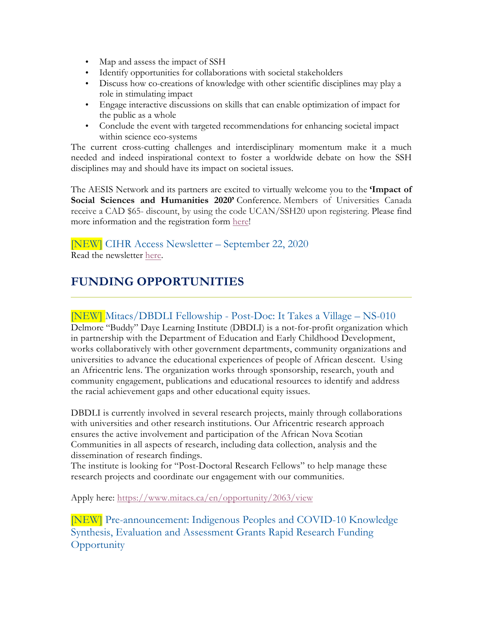- Map and assess the impact of SSH
- Identify opportunities for collaborations with societal stakeholders
- Discuss how co-creations of knowledge with other scientific disciplines may play a role in stimulating impact
- Engage interactive discussions on skills that can enable optimization of impact for the public as a whole
- Conclude the event with targeted recommendations for enhancing societal impact within science eco-systems

The current cross-cutting challenges and interdisciplinary momentum make it a much needed and indeed inspirational context to foster a worldwide debate on how the SSH disciplines may and should have its impact on societal issues.

The AESIS Network and its partners are excited to virtually welcome you to the **'Impact of Social Sciences and Humanities 2020'** Conference. Members of Universities Canada receive a CAD \$65- discount, by using the code UCAN/SSH20 upon registering. Please find more information and the registration form here!

[NEW] CIHR Access Newsletter – September 22, 2020 Read the newsletter here.

## **FUNDING OPPORTUNITIES**

### [NEW] Mitacs/DBDLI Fellowship - Post-Doc: It Takes a Village – NS-010

Delmore "Buddy" Daye Learning Institute (DBDLI) is a not-for-profit organization which in partnership with the Department of Education and Early Childhood Development, works collaboratively with other government departments, community organizations and universities to advance the educational experiences of people of African descent. Using an Africentric lens. The organization works through sponsorship, research, youth and community engagement, publications and educational resources to identify and address the racial achievement gaps and other educational equity issues.

DBDLI is currently involved in several research projects, mainly through collaborations with universities and other research institutions. Our Africentric research approach ensures the active involvement and participation of the African Nova Scotian Communities in all aspects of research, including data collection, analysis and the dissemination of research findings.

The institute is looking for "Post-Doctoral Research Fellows" to help manage these research projects and coordinate our engagement with our communities.

Apply here: https://www.mitacs.ca/en/opportunity/2063/view

[NEW] Pre-announcement: Indigenous Peoples and COVID-10 Knowledge Synthesis, Evaluation and Assessment Grants Rapid Research Funding **Opportunity**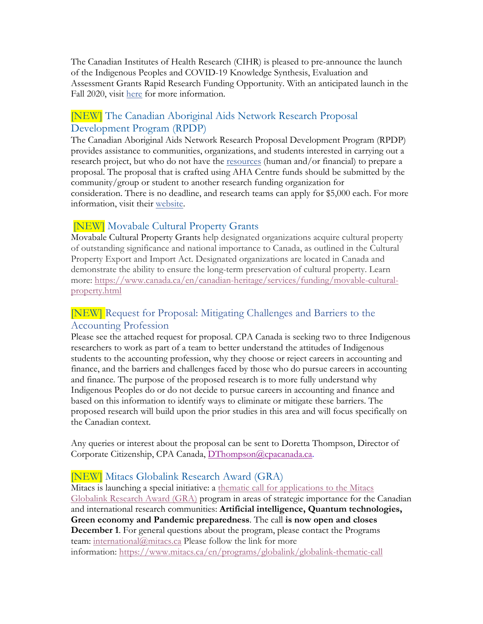The Canadian Institutes of Health Research (CIHR) is pleased to pre-announce the launch of the Indigenous Peoples and COVID-19 Knowledge Synthesis, Evaluation and Assessment Grants Rapid Research Funding Opportunity. With an anticipated launch in the Fall 2020, visit here for more information.

## [NEW] The Canadian Aboriginal Aids Network Research Proposal Development Program (RPDP)

The Canadian Aboriginal Aids Network Research Proposal Development Program (RPDP) provides assistance to communities, organizations, and students interested in carrying out a research project, but who do not have the resources (human and/or financial) to prepare a proposal. The proposal that is crafted using AHA Centre funds should be submitted by the community/group or student to another research funding organization for consideration. There is no deadline, and research teams can apply for \$5,000 each. For more information, visit their website.

## [NEW] Movabale Cultural Property Grants

Movabale Cultural Property Grants help designated organizations acquire cultural property of outstanding significance and national importance to Canada, as outlined in the Cultural Property Export and Import Act. Designated organizations are located in Canada and demonstrate the ability to ensure the long-term preservation of cultural property. Learn more: https://www.canada.ca/en/canadian-heritage/services/funding/movable-culturalproperty.html

## [NEW] Request for Proposal: Mitigating Challenges and Barriers to the Accounting Profession

Please see the attached request for proposal. CPA Canada is seeking two to three Indigenous researchers to work as part of a team to better understand the attitudes of Indigenous students to the accounting profession, why they choose or reject careers in accounting and finance, and the barriers and challenges faced by those who do pursue careers in accounting and finance. The purpose of the proposed research is to more fully understand why Indigenous Peoples do or do not decide to pursue careers in accounting and finance and based on this information to identify ways to eliminate or mitigate these barriers. The proposed research will build upon the prior studies in this area and will focus specifically on the Canadian context.

Any queries or interest about the proposal can be sent to Doretta Thompson, Director of Corporate Citizenship, CPA Canada, DThompson@cpacanada.ca.

## [NEW] Mitacs Globalink Research Award (GRA)

Mitacs is launching a special initiative: a thematic call for applications to the Mitacs Globalink Research Award (GRA) program in areas of strategic importance for the Canadian and international research communities: **Artificial intelligence, Quantum technologies, Green economy and Pandemic preparedness**. The call **is now open and closes December 1**. For general questions about the program, please contact the Programs team: international@mitacs.ca Please follow the link for more information: https://www.mitacs.ca/en/programs/globalink/globalink-thematic-call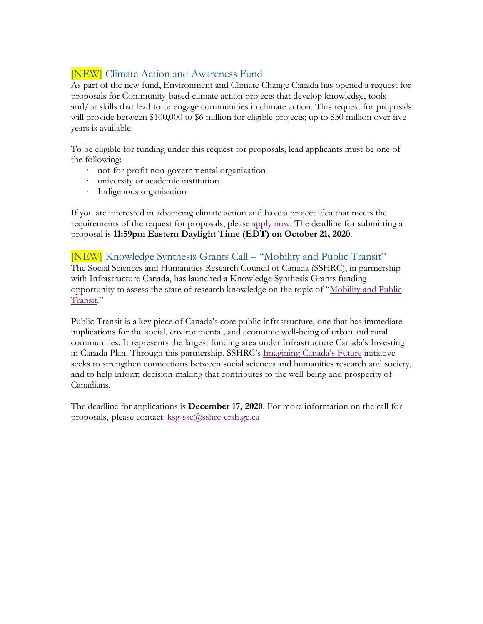## [NEW] Climate Action and Awareness Fund

As part of the new fund, Environment and Climate Change Canada has opened a request for proposals for Community-based climate action projects that develop knowledge, tools and/or skills that lead to or engage communities in climate action. This request for proposals will provide between \$100,000 to \$6 million for eligible projects; up to \$50 million over five years is available.

To be eligible for funding under this request for proposals, lead applicants must be one of the following:

- · not-for-profit non-governmental organization
- · university or academic institution
- · Indigenous organization

If you are interested in advancing climate action and have a project idea that meets the requirements of the request for proposals, please apply now. The deadline for submitting a proposal is **11:59pm Eastern Daylight Time (EDT) on October 21, 2020**.

[NEW] Knowledge Synthesis Grants Call – "Mobility and Public Transit" The Social Sciences and Humanities Research Council of Canada (SSHRC), in partnership with Infrastructure Canada, has launched a Knowledge Synthesis Grants funding opportunity to assess the state of research knowledge on the topic of "Mobility and Public Transit."

Public Transit is a key piece of Canada's core public infrastructure, one that has immediate implications for the social, environmental, and economic well-being of urban and rural communities. It represents the largest funding area under Infrastructure Canada's Investing in Canada Plan. Through this partnership, SSHRC's Imagining Canada's Future initiative seeks to strengthen connections between social sciences and humanities research and society, and to help inform decision-making that contributes to the well-being and prosperity of Canadians.

The deadline for applications is **December 17, 2020**. For more information on the call for proposals,please contact: ksg-ssc@sshrc-crsh.gc.ca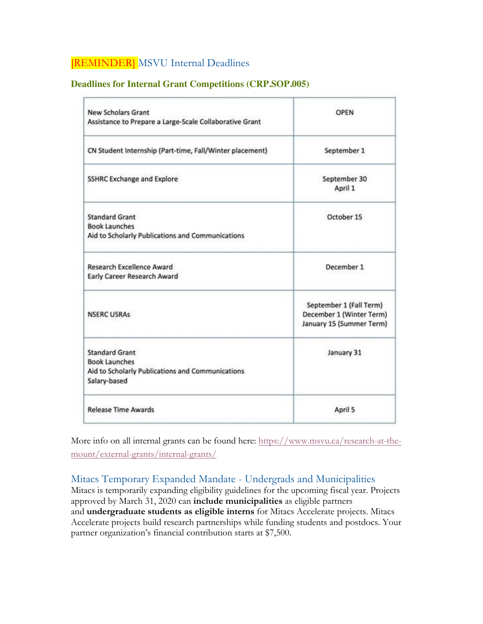## [REMINDER] MSVU Internal Deadlines

#### **Deadlines for Internal Grant Competitions (CRP.SOP.005)**

| <b>New Scholars Grant</b><br>Assistance to Prepare a Large-Scale Collaborative Grant                              | OPEN                                                                            |
|-------------------------------------------------------------------------------------------------------------------|---------------------------------------------------------------------------------|
| CN Student Internship (Part-time, Fall/Winter placement)                                                          | September 1                                                                     |
| <b>SSHRC Exchange and Explore</b>                                                                                 | September 30<br>April 1                                                         |
| <b>Standard Grant</b><br><b>Book Launches</b><br>Aid to Scholarly Publications and Communications                 | October 15                                                                      |
| <b>Research Excellence Award</b><br>Early Career Research Award                                                   | December 1                                                                      |
| <b>NSERC USRAs</b>                                                                                                | September 1 (Fall Term)<br>December 1 (Winter Term)<br>January 15 (Summer Term) |
| <b>Standard Grant</b><br><b>Book Launches</b><br>Aid to Scholarly Publications and Communications<br>Salary-based | January 31                                                                      |
| <b>Release Time Awards</b>                                                                                        | April 5                                                                         |

More info on all internal grants can be found here: https://www.msvu.ca/research-at-themount/external-grants/internal-grants/

#### Mitacs Temporary Expanded Mandate - Undergrads and Municipalities

Mitacs is temporarily expanding eligibility guidelines for the upcoming fiscal year. Projects approved by March 31, 2020 can **include municipalities** as eligible partners and **undergraduate students as eligible interns** for Mitacs Accelerate projects. Mitacs Accelerate projects build research partnerships while funding students and postdocs. Your partner organization's financial contribution starts at \$7,500.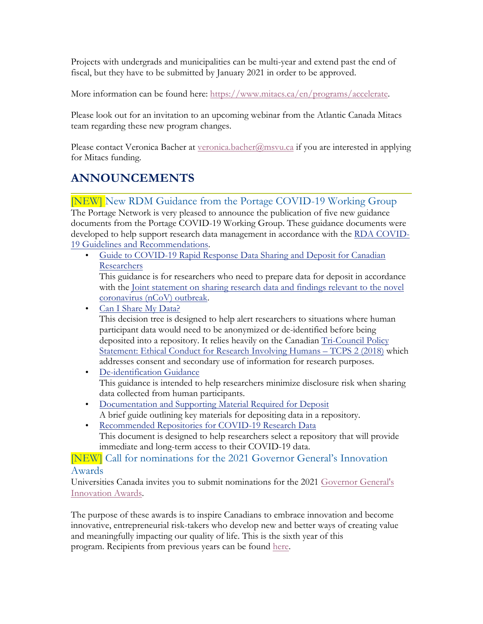Projects with undergrads and municipalities can be multi-year and extend past the end of fiscal, but they have to be submitted by January 2021 in order to be approved.

More information can be found here: https://www.mitacs.ca/en/programs/accelerate.

Please look out for an invitation to an upcoming webinar from the Atlantic Canada Mitacs team regarding these new program changes.

Please contact Veronica Bacher at veronica.bacher@msvu.ca if you are interested in applying for Mitacs funding.

## **ANNOUNCEMENTS**

[NEW] New RDM Guidance from the Portage COVID-19 Working Group

The Portage Network is very pleased to announce the publication of five new guidance documents from the Portage COVID-19 Working Group. These guidance documents were developed to help support research data management in accordance with the RDA COVID-19 Guidelines and Recommendations.

• Guide to COVID-19 Rapid Response Data Sharing and Deposit for Canadian Researchers

This guidance is for researchers who need to prepare data for deposit in accordance with the Joint statement on sharing research data and findings relevant to the novel coronavirus (nCoV) outbreak.

• Can I Share My Data?

This decision tree is designed to help alert researchers to situations where human participant data would need to be anonymized or de-identified before being deposited into a repository. It relies heavily on the Canadian Tri-Council Policy Statement: Ethical Conduct for Research Involving Humans – TCPS 2 (2018) which addresses consent and secondary use of information for research purposes.

- De-identification Guidance This guidance is intended to help researchers minimize disclosure risk when sharing data collected from human participants.
- Documentation and Supporting Material Required for Deposit A brief guide outlining key materials for depositing data in a repository.
- Recommended Repositories for COVID-19 Research Data This document is designed to help researchers select a repository that will provide immediate and long-term access to their COVID-19 data.

#### [NEW] Call for nominations for the 2021 Governor General's Innovation Awards

Universities Canada invites you to submit nominations for the 2021 Governor General's Innovation Awards.

The purpose of these awards is to inspire Canadians to embrace innovation and become innovative, entrepreneurial risk-takers who develop new and better ways of creating value and meaningfully impacting our quality of life. This is the sixth year of this program. Recipients from previous years can be found here.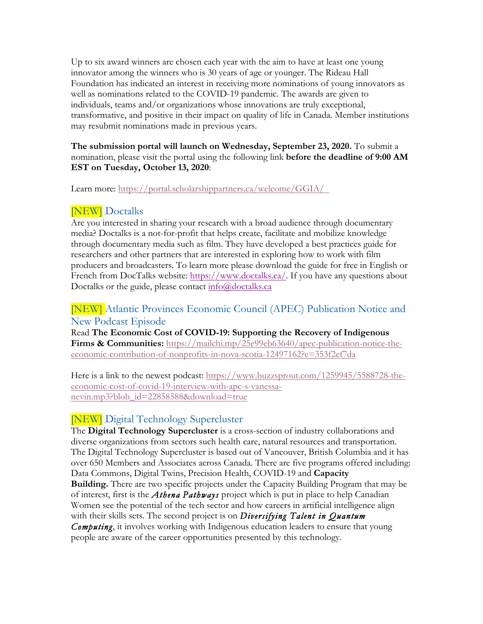Up to six award winners are chosen each year with the aim to have at least one young innovator among the winners who is 30 years of age or younger. The Rideau Hall Foundation has indicated an interest in receiving more nominations of young innovators as well as nominations related to the COVID-19 pandemic. The awards are given to individuals, teams and/or organizations whose innovations are truly exceptional, transformative, and positive in their impact on quality of life in Canada. Member institutions may resubmit nominations made in previous years.

#### **The submission portal will launch on Wednesday, September 23, 2020.** To submit a nomination, please visit the portal using the following link **before the deadline of 9:00 AM EST on Tuesday, October 13, 2020**:

Learn more: https://portal.scholarshippartners.ca/welcome/GGIA/

## [NEW] Doctalks

Are you interested in sharing your research with a broad audience through documentary media? Doctalks is a not-for-profit that helps create, facilitate and mobilize knowledge through documentary media such as film. They have developed a best practices guide for researchers and other partners that are interested in exploring how to work with film producers and broadcasters. To learn more please download the guide for free in English or French from DocTalks website: https://www.doctalks.ca/. If you have any questions about Doctalks or the guide, please contact info@doctalks.ca

## [NEW] Atlantic Provinces Economic Council (APEC) Publication Notice and New Podcast Episode

Read **The Economic Cost of COVID-19: Supporting the Recovery of Indigenous Firms & Communities:** https://mailchi.mp/25e99eb63640/apec-publication-notice-theeconomic-contribution-of-nonprofits-in-nova-scotia-12497162?e=353f2ef7da

Here is a link to the newest podcast: https://www.buzzsprout.com/1259945/5588728-theeconomic-cost-of-covid-19-interview-with-apc-s-vanessanevin.mp3?blob\_id=22858588&download=true

## [NEW] Digital Technology Supercluster

The **Digital Technology Supercluster** is a cross-section of industry collaborations and diverse organizations from sectors such health care, natural resources and transportation. The Digital Technology Supercluster is based out of Vancouver, British Columbia and it has over 650 Members and Associates across Canada. There are five programs offered including: Data Commons, Digital Twins, Precision Health, COVID-19 and **Capacity Building.** There are two specific projects under the Capacity Building Program that may be of interest, first is the *Athena Pathways* project which is put in place to help Canadian Women see the potential of the tech sector and how careers in artificial intelligence align with their skills sets. The second project is on *Diversifying Talent in Quantum Computing*, it involves working with Indigenous education leaders to ensure that young people are aware of the career opportunities presented by this technology.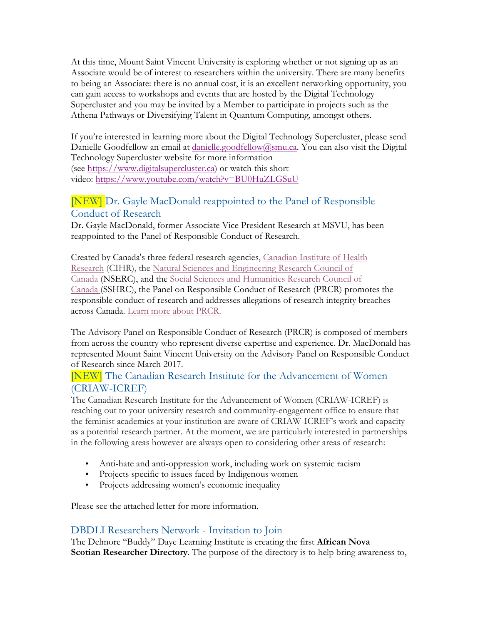At this time, Mount Saint Vincent University is exploring whether or not signing up as an Associate would be of interest to researchers within the university. There are many benefits to being an Associate: there is no annual cost, it is an excellent networking opportunity, you can gain access to workshops and events that are hosted by the Digital Technology Supercluster and you may be invited by a Member to participate in projects such as the Athena Pathways or Diversifying Talent in Quantum Computing, amongst others.

If you're interested in learning more about the Digital Technology Supercluster, please send Danielle Goodfellow an email at danielle.goodfellow@smu.ca. You can also visit the Digital Technology Supercluster website for more information (see https://www.digitalsupercluster.ca) or watch this short video: https://www.youtube.com/watch?v=BU0HuZLGSuU

## [NEW] Dr. Gayle MacDonald reappointed to the Panel of Responsible Conduct of Research

Dr. Gayle MacDonald, former Associate Vice President Research at MSVU, has been reappointed to the Panel of Responsible Conduct of Research.

Created by Canada's three federal research agencies, Canadian Institute of Health Research (CIHR), the Natural Sciences and Engineering Research Council of Canada (NSERC), and the Social Sciences and Humanities Research Council of Canada (SSHRC), the Panel on Responsible Conduct of Research (PRCR) promotes the responsible conduct of research and addresses allegations of research integrity breaches across Canada. Learn more about PRCR.

The Advisory Panel on Responsible Conduct of Research (PRCR) is composed of members from across the country who represent diverse expertise and experience. Dr. MacDonald has represented Mount Saint Vincent University on the Advisory Panel on Responsible Conduct of Research since March 2017.

### [NEW] The Canadian Research Institute for the Advancement of Women (CRIAW-ICREF)

The Canadian Research Institute for the Advancement of Women (CRIAW-ICREF) is reaching out to your university research and community-engagement office to ensure that the feminist academics at your institution are aware of CRIAW-ICREF's work and capacity as a potential research partner. At the moment, we are particularly interested in partnerships in the following areas however are always open to considering other areas of research:

- Anti-hate and anti-oppression work, including work on systemic racism
- Projects specific to issues faced by Indigenous women
- Projects addressing women's economic inequality

Please see the attached letter for more information.

### DBDLI Researchers Network - Invitation to Join

The Delmore "Buddy" Daye Learning Institute is creating the first **African Nova Scotian Researcher Directory**. The purpose of the directory is to help bring awareness to,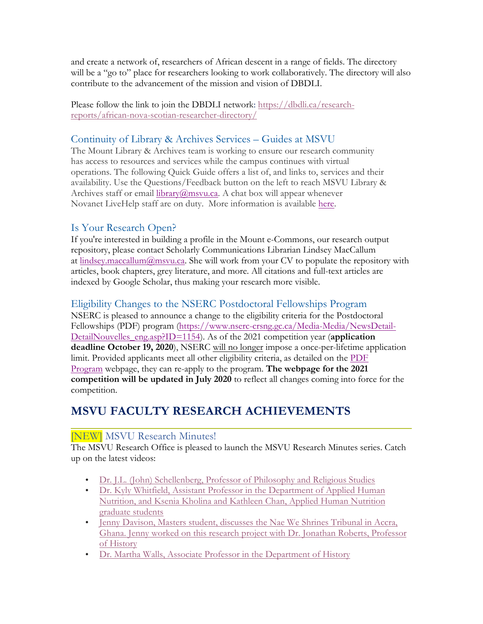and create a network of, researchers of African descent in a range of fields. The directory will be a "go to" place for researchers looking to work collaboratively. The directory will also contribute to the advancement of the mission and vision of DBDLI.

Please follow the link to join the DBDLI network: https://dbdli.ca/researchreports/african-nova-scotian-researcher-directory/

## Continuity of Library & Archives Services – Guides at MSVU

The Mount Library & Archives team is working to ensure our research community has access to resources and services while the campus continues with virtual operations. The following Quick Guide offers a list of, and links to, services and their availability. Use the Questions/Feedback button on the left to reach MSVU Library & Archives staff or email  $\frac{1}{\text{ibrary}(a)}$  msvu.ca. A chat box will appear whenever Novanet LiveHelp staff are on duty. More information is available here.

## Is Your Research Open?

If you're interested in building a profile in the Mount e-Commons, our research output repository, please contact Scholarly Communications Librarian Lindsey MacCallum at lindsey.maccallum@msvu.ca. She will work from your CV to populate the repository with articles, book chapters, grey literature, and more. All citations and full-text articles are indexed by Google Scholar, thus making your research more visible.

## Eligibility Changes to the NSERC Postdoctoral Fellowships Program

NSERC is pleased to announce a change to the eligibility criteria for the Postdoctoral Fellowships (PDF) program (https://www.nserc-crsng.gc.ca/Media-Media/NewsDetail-DetailNouvelles\_eng.asp?ID=1154). As of the 2021 competition year (**application deadline October 19, 2020**), NSERC will no longer impose a once-per-lifetime application limit. Provided applicants meet all other eligibility criteria, as detailed on the PDF Program webpage, they can re-apply to the program. **The webpage for the 2021 competition will be updated in July 2020** to reflect all changes coming into force for the competition.

## **MSVU FACULTY RESEARCH ACHIEVEMENTS**

## [NEW] MSVU Research Minutes!

The MSVU Research Office is pleased to launch the MSVU Research Minutes series. Catch up on the latest videos:

- Dr. J.L. (John) Schellenberg, Professor of Philosophy and Religious Studies
- Dr. Kyly Whitfield, Assistant Professor in the Department of Applied Human Nutrition, and Ksenia Kholina and Kathleen Chan, Applied Human Nutrition graduate students
- Jenny Davison, Masters student, discusses the Nae We Shrines Tribunal in Accra, Ghana. Jenny worked on this research project with Dr. Jonathan Roberts, Professor of History
- Dr. Martha Walls, Associate Professor in the Department of History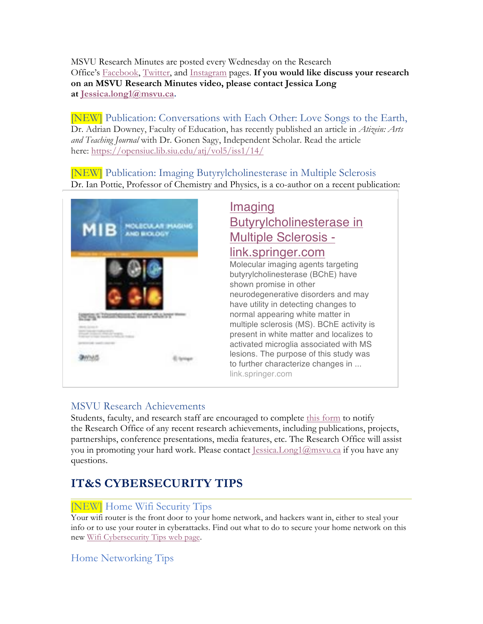MSVU Research Minutes are posted every Wednesday on the Research Office's Facebook, Twitter, and Instagram pages. **If you would like discuss your research on an MSVU Research Minutes video, please contact Jessica Long at Jessica.long1@msvu.ca.**

[NEW] Publication: Conversations with Each Other: Love Songs to the Earth, Dr. Adrian Downey, Faculty of Education, has recently published an article in *Atizein: Arts and Teaching Journal* with Dr. Gonen Sagy, Independent Scholar. Read the article here: https://opensiuc.lib.siu.edu/atj/vol5/iss1/14/

[NEW] Publication: Imaging Butyrylcholinesterase in Multiple Sclerosis Dr. Ian Pottie, Professor of Chemistry and Physics, is a co-author on a recent publication:



# Butyrylcholinesterase in Multiple Sclerosis link.springer.com

Molecular imaging agents targeting butyrylcholinesterase (BChE) have shown promise in other neurodegenerative disorders and may have utility in detecting changes to normal appearing white matter in multiple sclerosis (MS). BChE activity is present in white matter and localizes to activated microglia associated with MS lesions. The purpose of this study was to further characterize changes in ... link.springer.com

## MSVU Research Achievements

Students, faculty, and research staff are encouraged to complete this form to notify the Research Office of any recent research achievements, including publications, projects, partnerships, conference presentations, media features, etc. The Research Office will assist you in promoting your hard work. Please contact Jessica.Long1@msvu.ca if you have any questions.

## **IT&S CYBERSECURITY TIPS**

## [NEW] Home Wifi Security Tips

Your wifi router is the front door to your home network, and hackers want in, either to steal your info or to use your router in cyberattacks. Find out what to do to secure your home network on this new Wifi Cybersecurity Tips web page.

## Home Networking Tips